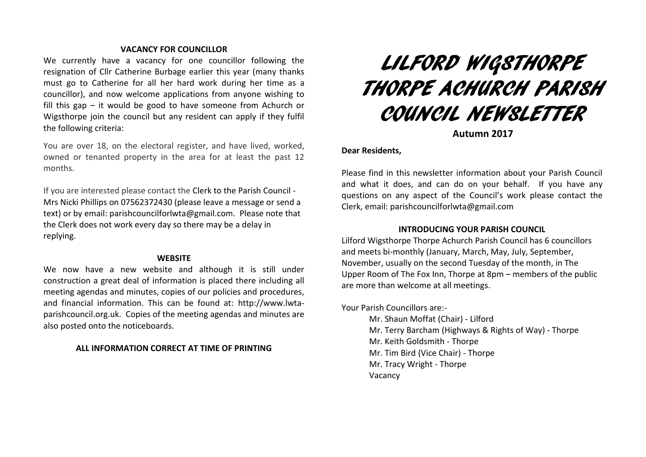### **VACANCY FOR COUNCILLOR**

We currently have a vacancy for one councillor following the resignation of Cllr Catherine Burbage earlier this year (many thanks must go to Catherine for all her hard work during her time as a councillor), and now welcome applications from anyone wishing to fill this gap – it would be good to have someone from Achurch or Wigsthorpe join the council but any resident can apply if they fulfil the following criteria:

You are over 18, on the electoral register, and have lived, worked, owned or tenanted property in the area for at least the past 12 months.

If you are interested please contact the Clerk to the Parish Council - Mrs Nicki Phillips on 07562372430 (please leave a message or send a text) or by email[: parishcouncilforlwta@gmail.com.](mailto:parishcouncilforlwta@gmail.com) Please note that the Clerk does not work every day so there may be a delay in replying.

#### **WEBSITE**

We now have a new website and although it is still under construction a great deal of information is placed there including all meeting agendas and minutes, copies of our policies and procedures, and financial information. This can be found at: [http://www.lwta](http://www.lwta-parishcouncil.org.uk/)[parishcouncil.org.uk.](http://www.lwta-parishcouncil.org.uk/) Copies of the meeting agendas and minutes are also posted onto the noticeboards.

## **ALL INFORMATION CORRECT AT TIME OF PRINTING**

# LILFORD WIGSTHORPE THORPE ACHURCH PARISH COUNCIL NEWSLETTER

**Autumn 2017**

## **Dear Residents,**

Please find in this newsletter information about your Parish Council and what it does, and can do on your behalf. If you have any questions on any aspect of the Council's work please contact the Clerk, email: [parishcouncilforlwta@gmail.com](mailto:parishcouncilforlwta@gmail.com)

## **INTRODUCING YOUR PARISH COUNCIL**

Lilford Wigsthorpe Thorpe Achurch Parish Council has 6 councillors and meets bi-monthly (January, March, May, July, September, November, usually on the second Tuesday of the month, in The Upper Room of The Fox Inn, Thorpe at 8pm – members of the public are more than welcome at all meetings.

Your Parish Councillors are:-

Mr. Shaun Moffat (Chair) - Lilford Mr. Terry Barcham (Highways & Rights of Way) - Thorpe Mr. Keith Goldsmith - Thorpe Mr. Tim Bird (Vice Chair) - Thorpe Mr. Tracy Wright - Thorpe Vacancy